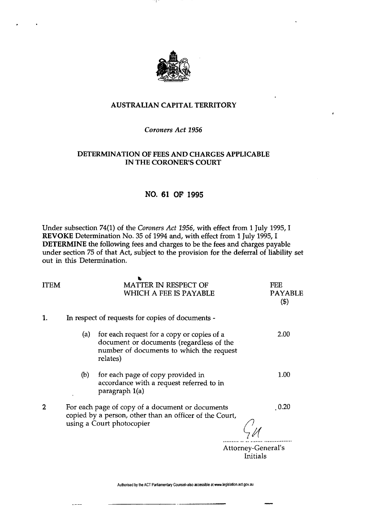

# AUSTRALIAN **CAPITAL** TERRITORY

### *Coroners Act 1956*

### **DETERMINATION OF FEES AND CHARGES APPLICABLE IN THE CORONER'S COURT**

# **NO. 61 OF 1995**

Under subsection 74(1) of the *Coroners Act 1956,* with effect from 1 July 1995,1 **REVOKE** Determination No. 35 of 1994 and, with effect from 1 July 1995,1 **DETERMINE** the following fees and charges to be the fees and charges payable under section 75 of that Act, subject to the provision for the deferral of liability set out in this Determination.

| <b>ITEM</b>    |                                                                                                                                          | <b>MATTER IN RESPECT OF</b><br>WHICH A FEE IS PAYABLE                                                                                          | <b>FEE</b><br><b>PAYABLE</b><br>$(\$)$ |
|----------------|------------------------------------------------------------------------------------------------------------------------------------------|------------------------------------------------------------------------------------------------------------------------------------------------|----------------------------------------|
| 1.             | In respect of requests for copies of documents -                                                                                         |                                                                                                                                                |                                        |
|                | (a)                                                                                                                                      | for each request for a copy or copies of a<br>document or documents (regardless of the<br>number of documents to which the request<br>relates) | 2.00                                   |
|                | (b)                                                                                                                                      | for each page of copy provided in<br>accordance with a request referred to in<br>paragraph 1(a)                                                | 1.00                                   |
| $\overline{2}$ | For each page of copy of a document or documents<br>copied by a person, other than an officer of the Court,<br>using a Court photocopier |                                                                                                                                                | 0.20<br>Attorney-General's             |
|                |                                                                                                                                          |                                                                                                                                                | Initials                               |

Authorised by the ACT Parliamentary Counsel-also accessible at www.legislation.act.gov.au